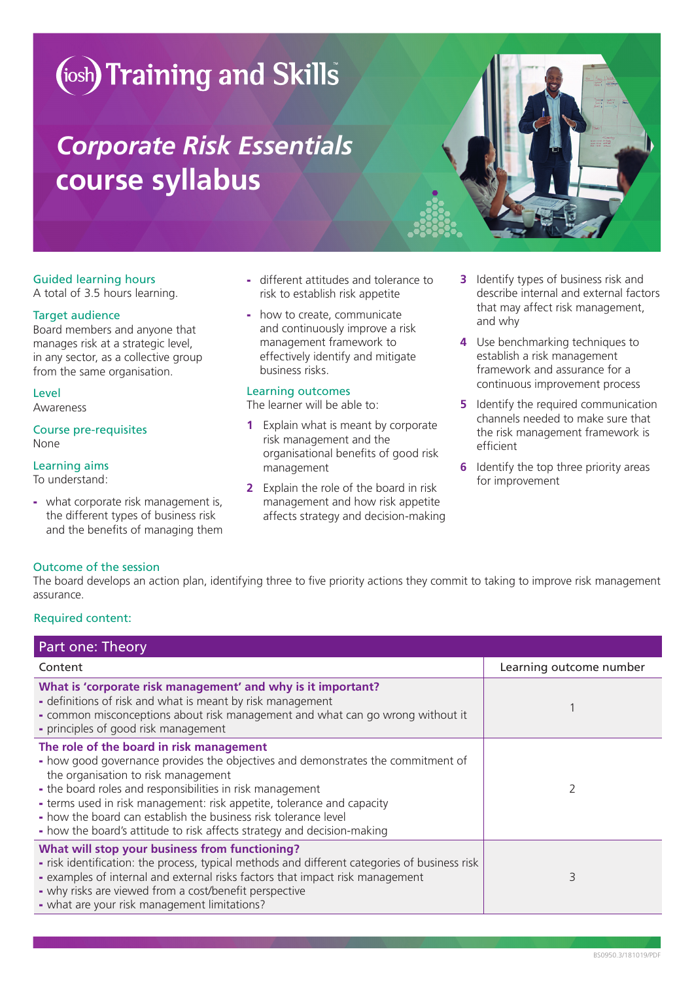# (iosh) Training and Skills

## *Corporate Risk Essentials* **course syllabus**

### Guided learning hours

A total of 3.5 hours learning.

#### Target audience

Board members and anyone that manages risk at a strategic level, in any sector, as a collective group from the same organisation.

#### Level

Awareness

Course pre-requisites None

#### Learning aims

To understand:

- what corporate risk management is, the different types of business risk and the benefits of managing them

- different attitudes and tolerance to risk to establish risk appetite
- how to create, communicate and continuously improve a risk management framework to effectively identify and mitigate business risks.

#### Learning outcomes

The learner will be able to:

- **1** Explain what is meant by corporate risk management and the organisational benefits of good risk management
- **2** Explain the role of the board in risk management and how risk appetite affects strategy and decision-making
- **3** Identify types of business risk and describe internal and external factors that may affect risk management, and why
- **4** Use benchmarking techniques to establish a risk management framework and assurance for a continuous improvement process
- **5** Identify the required communication channels needed to make sure that the risk management framework is efficient
- **6** Identify the top three priority areas for improvement

### Outcome of the session

The board develops an action plan, identifying three to five priority actions they commit to taking to improve risk management assurance.

#### Required content:

| Part one: Theory                                                                                                                                                                                                                                                                                                                                                                                                                                         |                         |
|----------------------------------------------------------------------------------------------------------------------------------------------------------------------------------------------------------------------------------------------------------------------------------------------------------------------------------------------------------------------------------------------------------------------------------------------------------|-------------------------|
| Content                                                                                                                                                                                                                                                                                                                                                                                                                                                  | Learning outcome number |
| What is 'corporate risk management' and why is it important?<br>- definitions of risk and what is meant by risk management<br>- common misconceptions about risk management and what can go wrong without it<br>- principles of good risk management                                                                                                                                                                                                     |                         |
| The role of the board in risk management<br>- how good governance provides the objectives and demonstrates the commitment of<br>the organisation to risk management<br>- the board roles and responsibilities in risk management<br>- terms used in risk management: risk appetite, tolerance and capacity<br>- how the board can establish the business risk tolerance level<br>- how the board's attitude to risk affects strategy and decision-making |                         |
| What will stop your business from functioning?<br>- risk identification: the process, typical methods and different categories of business risk<br>- examples of internal and external risks factors that impact risk management<br>- why risks are viewed from a cost/benefit perspective<br>- what are your risk management limitations?                                                                                                               | 3                       |